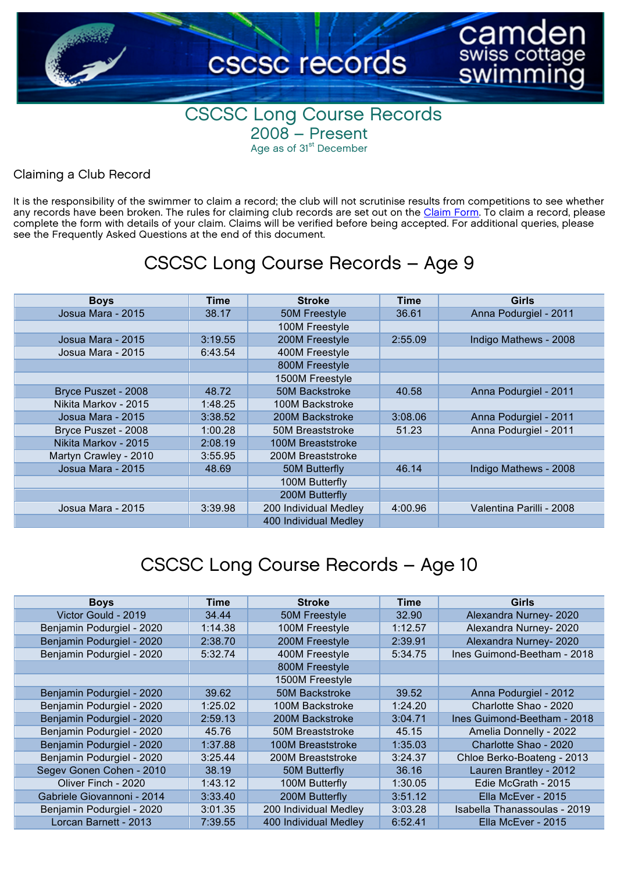

#### CSCSC Long Course Records 2008 – Present Age as of 31<sup>st</sup> December

#### Claiming a Club Record

It is the responsibility of the swimmer to claim a record; the club will not scrutinise results from competitions to see whether any records have been broken. The rules for claiming club records are set out on the [Claim Form](https://www.cognitoforms.com/CSCSC1/CSCSCCLUBRECORDCLAIMFORM). To claim a record, please complete the form with details of your claim. Claims will be verified before being accepted. For additional queries, please see the Frequently Asked Questions at the end of this document.

#### CSCSC Long Course Records – Age 9

| <b>Boys</b>           | <b>Time</b> | <b>Stroke</b>         | <b>Time</b> | Girls                    |
|-----------------------|-------------|-----------------------|-------------|--------------------------|
| Josua Mara - 2015     | 38.17       | 50M Freestyle         | 36.61       | Anna Podurgiel - 2011    |
|                       |             | 100M Freestyle        |             |                          |
| Josua Mara - 2015     | 3:19.55     | 200M Freestyle        | 2:55.09     | Indigo Mathews - 2008    |
| Josua Mara - 2015     | 6:43.54     | 400M Freestyle        |             |                          |
|                       |             | 800M Freestyle        |             |                          |
|                       |             | 1500M Freestyle       |             |                          |
| Bryce Puszet - 2008   | 48.72       | 50M Backstroke        | 40.58       | Anna Podurgiel - 2011    |
| Nikita Markov - 2015  | 1:48.25     | 100M Backstroke       |             |                          |
| Josua Mara - 2015     | 3:38.52     | 200M Backstroke       | 3:08.06     | Anna Podurgiel - 2011    |
| Bryce Puszet - 2008   | 1:00.28     | 50M Breaststroke      | 51.23       | Anna Podurgiel - 2011    |
| Nikita Markov - 2015  | 2:08.19     | 100M Breaststroke     |             |                          |
| Martyn Crawley - 2010 | 3:55.95     | 200M Breaststroke     |             |                          |
| Josua Mara - 2015     | 48.69       | 50M Butterfly         | 46.14       | Indigo Mathews - 2008    |
|                       |             | 100M Butterfly        |             |                          |
|                       |             | 200M Butterfly        |             |                          |
| Josua Mara - 2015     | 3:39.98     | 200 Individual Medley | 4:00.96     | Valentina Parilli - 2008 |
|                       |             | 400 Individual Medley |             |                          |

| <b>Boys</b>                | Time    | <b>Stroke</b>           | Time    | Girls                        |
|----------------------------|---------|-------------------------|---------|------------------------------|
| Victor Gould - 2019        | 34.44   | 50M Freestyle           | 32.90   | Alexandra Nurney-2020        |
| Benjamin Podurgiel - 2020  | 1:14.38 | 100M Freestyle          | 1:12.57 | Alexandra Nurney-2020        |
| Benjamin Podurgiel - 2020  | 2:38.70 | 200M Freestyle          | 2:39.91 | Alexandra Nurney-2020        |
| Benjamin Podurgiel - 2020  | 5:32.74 | 400M Freestyle          | 5:34.75 | Ines Guimond-Beetham - 2018  |
|                            |         | 800M Freestyle          |         |                              |
|                            |         | 1500M Freestyle         |         |                              |
| Benjamin Podurgiel - 2020  | 39.62   | 50M Backstroke          | 39.52   | Anna Podurgiel - 2012        |
| Benjamin Podurgiel - 2020  | 1:25.02 | 100M Backstroke         | 1:24.20 | Charlotte Shao - 2020        |
| Benjamin Podurgiel - 2020  | 2:59.13 | 200M Backstroke         | 3:04.71 | Ines Guimond-Beetham - 2018  |
| Benjamin Podurgiel - 2020  | 45.76   | <b>50M Breaststroke</b> | 45.15   | Amelia Donnelly - 2022       |
| Benjamin Podurgiel - 2020  | 1:37.88 | 100M Breaststroke       | 1:35.03 | Charlotte Shao - 2020        |
| Benjamin Podurgiel - 2020  | 3:25.44 | 200M Breaststroke       | 3:24.37 | Chloe Berko-Boateng - 2013   |
| Segev Gonen Cohen - 2010   | 38.19   | 50M Butterfly           | 36.16   | Lauren Brantley - 2012       |
| Oliver Finch - 2020        | 1:43.12 | 100M Butterfly          | 1:30.05 | Edie McGrath - 2015          |
| Gabriele Giovannoni - 2014 | 3:33.40 | 200M Butterfly          | 3:51.12 | Ella McEver - 2015           |
| Benjamin Podurgiel - 2020  | 3:01.35 | 200 Individual Medley   | 3:03.28 | Isabella Thanassoulas - 2019 |
| Lorcan Barnett - 2013      | 7:39.55 | 400 Individual Medley   | 6:52.41 | Ella McEver - 2015           |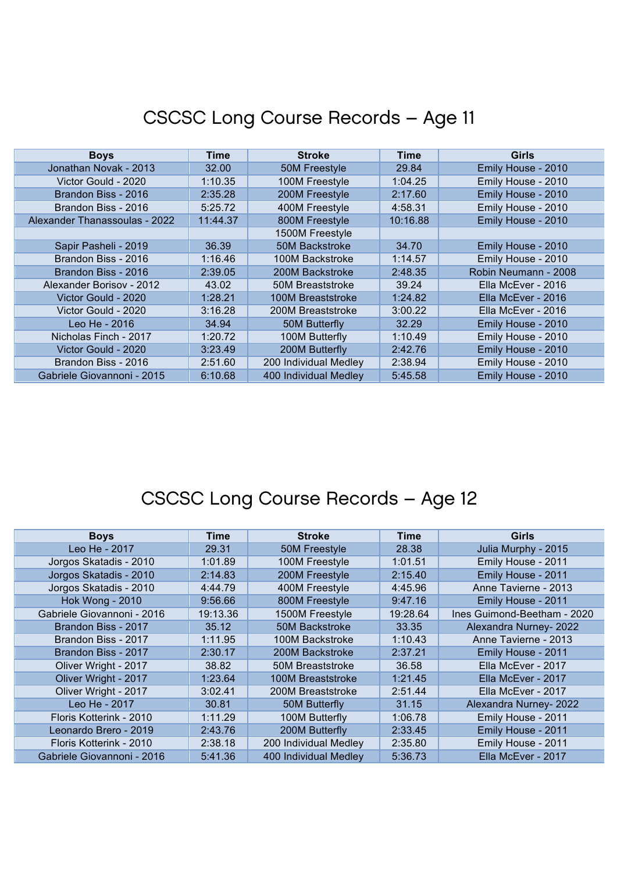| <b>Boys</b>                   | Time     | <b>Stroke</b>         | <b>Time</b> | Girls                |
|-------------------------------|----------|-----------------------|-------------|----------------------|
| Jonathan Novak - 2013         | 32.00    | 50M Freestyle         | 29.84       | Emily House - 2010   |
| Victor Gould - 2020           | 1:10.35  | 100M Freestyle        | 1:04.25     | Emily House - 2010   |
| Brandon Biss - 2016           | 2:35.28  | 200M Freestyle        | 2:17.60     | Emily House - 2010   |
| Brandon Biss - 2016           | 5:25.72  | 400M Freestyle        | 4:58.31     | Emily House - 2010   |
| Alexander Thanassoulas - 2022 | 11:44.37 | 800M Freestyle        | 10:16.88    | Emily House - 2010   |
|                               |          | 1500M Freestyle       |             |                      |
| Sapir Pasheli - 2019          | 36.39    | <b>50M Backstroke</b> | 34.70       | Emily House - 2010   |
| Brandon Biss - 2016           | 1:16.46  | 100M Backstroke       | 1:14.57     | Emily House - 2010   |
| Brandon Biss - 2016           | 2:39.05  | 200M Backstroke       | 2:48.35     | Robin Neumann - 2008 |
| Alexander Borisov - 2012      | 43.02    | 50M Breaststroke      | 39.24       | Ella McEver - 2016   |
| Victor Gould - 2020           | 1:28.21  | 100M Breaststroke     | 1:24.82     | Ella McEver - 2016   |
| Victor Gould - 2020           | 3:16.28  | 200M Breaststroke     | 3:00.22     | Ella McEver - 2016   |
| Leo He - 2016                 | 34.94    | 50M Butterfly         | 32.29       | Emily House - 2010   |
| Nicholas Finch - 2017         | 1:20.72  | 100M Butterfly        | 1:10.49     | Emily House - 2010   |
| Victor Gould - 2020           | 3:23.49  | 200M Butterfly        | 2:42.76     | Emily House - 2010   |
| Brandon Biss - 2016           | 2:51.60  | 200 Individual Medley | 2:38.94     | Emily House - 2010   |
| Gabriele Giovannoni - 2015    | 6:10.68  | 400 Individual Medley | 5:45.58     | Emily House - 2010   |

| <b>Boys</b>                | Time     | <b>Stroke</b>         | Time     | Girls                       |
|----------------------------|----------|-----------------------|----------|-----------------------------|
| Leo He - 2017              | 29.31    | 50M Freestyle         | 28.38    | Julia Murphy - 2015         |
| Jorgos Skatadis - 2010     | 1:01.89  | 100M Freestyle        | 1:01.51  | Emily House - 2011          |
| Jorgos Skatadis - 2010     | 2:14.83  | 200M Freestyle        | 2:15.40  | Emily House - 2011          |
| Jorgos Skatadis - 2010     | 4:44.79  | 400M Freestyle        | 4:45.96  | Anne Tavierne - 2013        |
| <b>Hok Wong - 2010</b>     | 9:56.66  | 800M Freestyle        | 9:47.16  | Emily House - 2011          |
| Gabriele Giovannoni - 2016 | 19:13.36 | 1500M Freestyle       | 19:28.64 | Ines Guimond-Beetham - 2020 |
| Brandon Biss - 2017        | 35.12    | 50M Backstroke        | 33.35    | Alexandra Nurney-2022       |
| Brandon Biss - 2017        | 1:11.95  | 100M Backstroke       | 1:10.43  | Anne Tavierne - 2013        |
| Brandon Biss - 2017        | 2:30.17  | 200M Backstroke       | 2:37.21  | Emily House - 2011          |
| Oliver Wright - 2017       | 38.82    | 50M Breaststroke      | 36.58    | Ella McEver - 2017          |
| Oliver Wright - 2017       | 1:23.64  | 100M Breaststroke     | 1:21.45  | Ella McEver - 2017          |
| Oliver Wright - 2017       | 3:02.41  | 200M Breaststroke     | 2:51.44  | Ella McEver - 2017          |
| Leo He - 2017              | 30.81    | 50M Butterfly         | 31.15    | Alexandra Nurney-2022       |
| Floris Kotterink - 2010    | 1:11.29  | 100M Butterfly        | 1:06.78  | Emily House - 2011          |
| Leonardo Brero - 2019      | 2:43.76  | 200M Butterfly        | 2:33.45  | Emily House - 2011          |
| Floris Kotterink - 2010    | 2:38.18  | 200 Individual Medley | 2:35.80  | Emily House - 2011          |
| Gabriele Giovannoni - 2016 | 5:41.36  | 400 Individual Medley | 5:36.73  | Ella McEver - 2017          |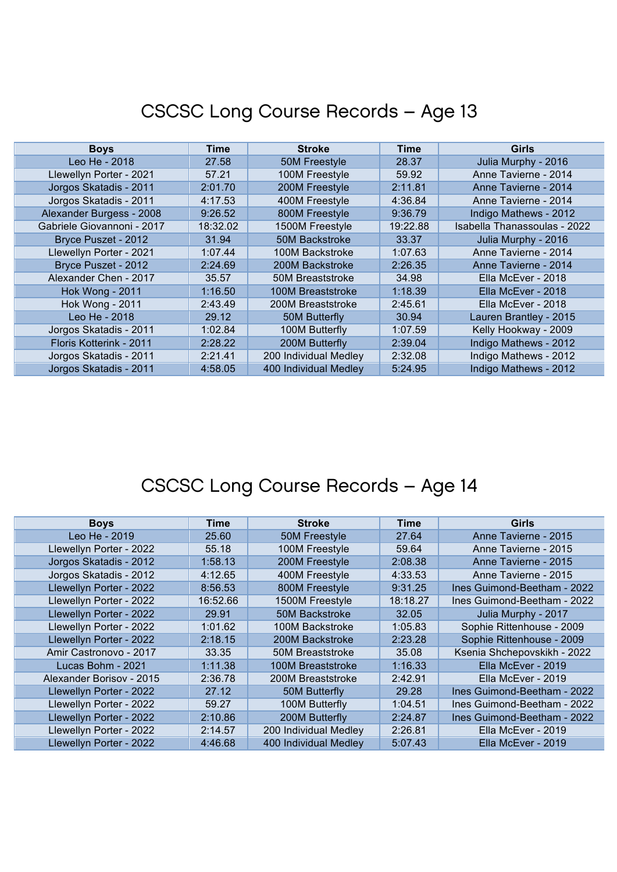| <b>Boys</b>                | Time     | <b>Stroke</b>         | Time     | <b>Girls</b>                 |
|----------------------------|----------|-----------------------|----------|------------------------------|
| Leo He - 2018              | 27.58    | 50M Freestyle         | 28.37    | Julia Murphy - 2016          |
| Llewellyn Porter - 2021    | 57.21    | 100M Freestyle        | 59.92    | Anne Tavierne - 2014         |
| Jorgos Skatadis - 2011     | 2:01.70  | 200M Freestyle        | 2:11.81  | Anne Tavierne - 2014         |
| Jorgos Skatadis - 2011     | 4:17.53  | 400M Freestyle        | 4:36.84  | Anne Tavierne - 2014         |
| Alexander Burgess - 2008   | 9:26.52  | 800M Freestyle        | 9:36.79  | Indigo Mathews - 2012        |
| Gabriele Giovannoni - 2017 | 18:32.02 | 1500M Freestyle       | 19:22.88 | Isabella Thanassoulas - 2022 |
| Bryce Puszet - 2012        | 31.94    | <b>50M Backstroke</b> | 33.37    | Julia Murphy - 2016          |
| Llewellyn Porter - 2021    | 1:07.44  | 100M Backstroke       | 1:07.63  | Anne Tavierne - 2014         |
| Bryce Puszet - 2012        | 2:24.69  | 200M Backstroke       | 2:26.35  | Anne Tavierne - 2014         |
| Alexander Chen - 2017      | 35.57    | 50M Breaststroke      | 34.98    | Ella McEver - 2018           |
| <b>Hok Wong - 2011</b>     | 1:16.50  | 100M Breaststroke     | 1:18.39  | Ella McEver - 2018           |
| <b>Hok Wong - 2011</b>     | 2:43.49  | 200M Breaststroke     | 2:45.61  | Ella McEver - 2018           |
| Leo He - 2018              | 29.12    | 50M Butterfly         | 30.94    | Lauren Brantley - 2015       |
| Jorgos Skatadis - 2011     | 1:02.84  | 100M Butterfly        | 1:07.59  | Kelly Hookway - 2009         |
| Floris Kotterink - 2011    | 2:28.22  | 200M Butterfly        | 2:39.04  | Indigo Mathews - 2012        |
| Jorgos Skatadis - 2011     | 2:21.41  | 200 Individual Medley | 2:32.08  | Indigo Mathews - 2012        |
| Jorgos Skatadis - 2011     | 4:58.05  | 400 Individual Medley | 5:24.95  | Indigo Mathews - 2012        |

| <b>Boys</b>              | <b>Time</b> | <b>Stroke</b>           | Time     | <b>Girls</b>                |
|--------------------------|-------------|-------------------------|----------|-----------------------------|
| Leo He - 2019            | 25.60       | 50M Freestyle           | 27.64    | Anne Tavierne - 2015        |
| Llewellyn Porter - 2022  | 55.18       | 100M Freestyle          | 59.64    | Anne Tavierne - 2015        |
| Jorgos Skatadis - 2012   | 1:58.13     | 200M Freestyle          | 2:08.38  | Anne Tavierne - 2015        |
| Jorgos Skatadis - 2012   | 4:12.65     | 400M Freestyle          | 4:33.53  | Anne Tavierne - 2015        |
| Llewellyn Porter - 2022  | 8:56.53     | 800M Freestyle          | 9:31.25  | Ines Guimond-Beetham - 2022 |
| Llewellyn Porter - 2022  | 16:52.66    | 1500M Freestyle         | 18:18.27 | Ines Guimond-Beetham - 2022 |
| Llewellyn Porter - 2022  | 29.91       | 50M Backstroke          | 32.05    | Julia Murphy - 2017         |
| Llewellyn Porter - 2022  | 1:01.62     | 100M Backstroke         | 1:05.83  | Sophie Rittenhouse - 2009   |
| Llewellyn Porter - 2022  | 2:18.15     | 200M Backstroke         | 2:23.28  | Sophie Rittenhouse - 2009   |
| Amir Castronovo - 2017   | 33.35       | <b>50M Breaststroke</b> | 35.08    | Ksenia Shchepovskikh - 2022 |
| Lucas Bohm - 2021        | 1:11.38     | 100M Breaststroke       | 1:16.33  | Ella McEver - 2019          |
| Alexander Borisov - 2015 | 2:36.78     | 200M Breaststroke       | 2:42.91  | Ella McEver - 2019          |
| Llewellyn Porter - 2022  | 27.12       | 50M Butterfly           | 29.28    | Ines Guimond-Beetham - 2022 |
| Llewellyn Porter - 2022  | 59.27       | 100M Butterfly          | 1:04.51  | Ines Guimond-Beetham - 2022 |
| Llewellyn Porter - 2022  | 2:10.86     | 200M Butterfly          | 2:24.87  | Ines Guimond-Beetham - 2022 |
| Llewellyn Porter - 2022  | 2:14.57     | 200 Individual Medley   | 2:26.81  | Ella McEver - 2019          |
| Llewellyn Porter - 2022  | 4:46.68     | 400 Individual Medley   | 5:07.43  | Ella McEver - 2019          |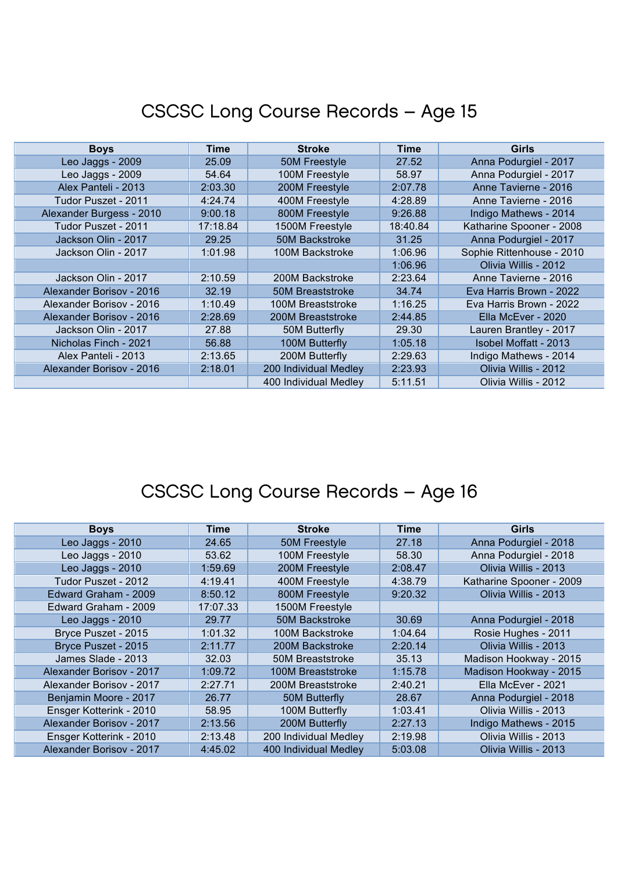| <b>Boys</b>              | Time     | <b>Stroke</b>           | Time     | <b>Girls</b>              |
|--------------------------|----------|-------------------------|----------|---------------------------|
| Leo Jaggs - 2009         | 25.09    | 50M Freestyle           | 27.52    | Anna Podurgiel - 2017     |
| Leo Jaggs - 2009         | 54.64    | 100M Freestyle          | 58.97    | Anna Podurgiel - 2017     |
| Alex Panteli - 2013      | 2:03.30  | 200M Freestyle          | 2:07.78  | Anne Tavierne - 2016      |
| Tudor Puszet - 2011      | 4:24.74  | 400M Freestyle          | 4:28.89  | Anne Tavierne - 2016      |
| Alexander Burgess - 2010 | 9:00.18  | 800M Freestyle          | 9:26.88  | Indigo Mathews - 2014     |
| Tudor Puszet - 2011      | 17:18.84 | 1500M Freestyle         | 18:40.84 | Katharine Spooner - 2008  |
| Jackson Olin - 2017      | 29.25    | 50M Backstroke          | 31.25    | Anna Podurgiel - 2017     |
| Jackson Olin - 2017      | 1:01.98  | 100M Backstroke         | 1:06.96  | Sophie Rittenhouse - 2010 |
|                          |          |                         | 1:06.96  | Olivia Willis - 2012      |
| Jackson Olin - 2017      | 2:10.59  | 200M Backstroke         | 2:23.64  | Anne Tavierne - 2016      |
| Alexander Borisov - 2016 | 32.19    | <b>50M Breaststroke</b> | 34.74    | Eva Harris Brown - 2022   |
| Alexander Borisov - 2016 | 1:10.49  | 100M Breaststroke       | 1:16.25  | Eva Harris Brown - 2022   |
| Alexander Borisov - 2016 | 2:28.69  | 200M Breaststroke       | 2:44.85  | Ella McEver - 2020        |
| Jackson Olin - 2017      | 27.88    | 50M Butterfly           | 29.30    | Lauren Brantley - 2017    |
| Nicholas Finch - 2021    | 56.88    | 100M Butterfly          | 1:05.18  | Isobel Moffatt - 2013     |
| Alex Panteli - 2013      | 2:13.65  | 200M Butterfly          | 2:29.63  | Indigo Mathews - 2014     |
| Alexander Borisov - 2016 | 2:18.01  | 200 Individual Medley   | 2:23.93  | Olivia Willis - 2012      |
|                          |          | 400 Individual Medley   | 5:11.51  | Olivia Willis - 2012      |

| <b>Boys</b>              | <b>Time</b> | <b>Stroke</b>         | Time    | Girls                    |
|--------------------------|-------------|-----------------------|---------|--------------------------|
| Leo Jaggs - 2010         | 24.65       | 50M Freestyle         | 27.18   | Anna Podurgiel - 2018    |
| Leo Jaggs - 2010         | 53.62       | 100M Freestyle        | 58.30   | Anna Podurgiel - 2018    |
| Leo Jaggs - 2010         | 1:59.69     | 200M Freestyle        | 2:08.47 | Olivia Willis - 2013     |
| Tudor Puszet - 2012      | 4:19.41     | 400M Freestyle        | 4:38.79 | Katharine Spooner - 2009 |
| Edward Graham - 2009     | 8:50.12     | 800M Freestyle        | 9:20.32 | Olivia Willis - 2013     |
| Edward Graham - 2009     | 17:07.33    | 1500M Freestyle       |         |                          |
| Leo Jaggs - 2010         | 29.77       | <b>50M Backstroke</b> | 30.69   | Anna Podurgiel - 2018    |
| Bryce Puszet - 2015      | 1:01.32     | 100M Backstroke       | 1:04.64 | Rosie Hughes - 2011      |
| Bryce Puszet - 2015      | 2:11.77     | 200M Backstroke       | 2:20.14 | Olivia Willis - 2013     |
| James Slade - 2013       | 32.03       | 50M Breaststroke      | 35.13   | Madison Hookway - 2015   |
| Alexander Borisov - 2017 | 1:09.72     | 100M Breaststroke     | 1:15.78 | Madison Hookway - 2015   |
| Alexander Borisov - 2017 | 2:27.71     | 200M Breaststroke     | 2:40.21 | Ella McEver - 2021       |
| Benjamin Moore - 2017    | 26.77       | 50M Butterfly         | 28.67   | Anna Podurgiel - 2018    |
| Ensger Kotterink - 2010  | 58.95       | 100M Butterfly        | 1:03.41 | Olivia Willis - 2013     |
| Alexander Borisov - 2017 | 2:13.56     | 200M Butterfly        | 2:27.13 | Indigo Mathews - 2015    |
| Ensger Kotterink - 2010  | 2:13.48     | 200 Individual Medley | 2:19.98 | Olivia Willis - 2013     |
| Alexander Borisov - 2017 | 4:45.02     | 400 Individual Medley | 5:03.08 | Olivia Willis - 2013     |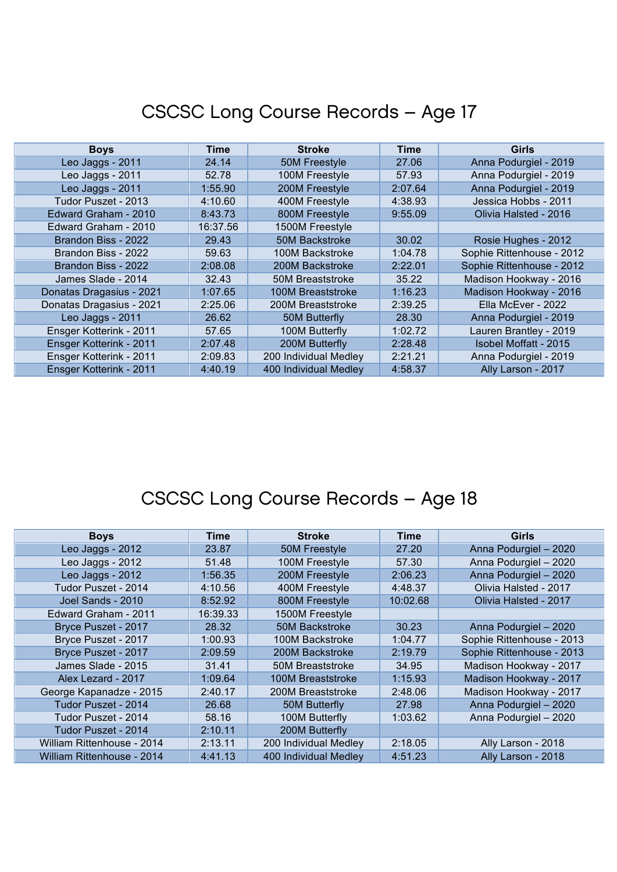| <b>Boys</b>              | Time     | <b>Stroke</b>         | Time    | <b>Girls</b>              |
|--------------------------|----------|-----------------------|---------|---------------------------|
| Leo Jaggs - 2011         | 24.14    | 50M Freestyle         | 27.06   | Anna Podurgiel - 2019     |
| Leo Jaggs - 2011         | 52.78    | 100M Freestyle        | 57.93   | Anna Podurgiel - 2019     |
| Leo Jaggs - 2011         | 1:55.90  | 200M Freestyle        | 2:07.64 | Anna Podurgiel - 2019     |
| Tudor Puszet - 2013      | 4:10.60  | 400M Freestyle        | 4:38.93 | Jessica Hobbs - 2011      |
| Edward Graham - 2010     | 8:43.73  | 800M Freestyle        | 9:55.09 | Olivia Halsted - 2016     |
| Edward Graham - 2010     | 16:37.56 | 1500M Freestyle       |         |                           |
| Brandon Biss - 2022      | 29.43    | <b>50M Backstroke</b> | 30.02   | Rosie Hughes - 2012       |
| Brandon Biss - 2022      | 59.63    | 100M Backstroke       | 1:04.78 | Sophie Rittenhouse - 2012 |
| Brandon Biss - 2022      | 2:08.08  | 200M Backstroke       | 2:22.01 | Sophie Rittenhouse - 2012 |
| James Slade - 2014       | 32.43    | 50M Breaststroke      | 35.22   | Madison Hookway - 2016    |
| Donatas Dragasius - 2021 | 1:07.65  | 100M Breaststroke     | 1:16.23 | Madison Hookway - 2016    |
| Donatas Dragasius - 2021 | 2:25.06  | 200M Breaststroke     | 2:39.25 | Ella McEver - 2022        |
| Leo Jaggs - 2011         | 26.62    | 50M Butterfly         | 28.30   | Anna Podurgiel - 2019     |
| Ensger Kotterink - 2011  | 57.65    | 100M Butterfly        | 1:02.72 | Lauren Brantley - 2019    |
| Ensger Kotterink - 2011  | 2:07.48  | 200M Butterfly        | 2:28.48 | Isobel Moffatt - 2015     |
| Ensger Kotterink - 2011  | 2:09.83  | 200 Individual Medley | 2:21.21 | Anna Podurgiel - 2019     |
| Ensger Kotterink - 2011  | 4:40.19  | 400 Individual Medley | 4:58.37 | Ally Larson - 2017        |

| <b>Boys</b>                | Time     | <b>Stroke</b>         | <b>Time</b> | Girls                     |
|----------------------------|----------|-----------------------|-------------|---------------------------|
| Leo Jaggs - 2012           | 23.87    | 50M Freestyle         | 27.20       | Anna Podurgiel - 2020     |
| Leo Jaggs - 2012           | 51.48    | 100M Freestyle        | 57.30       | Anna Podurgiel - 2020     |
| Leo Jaggs - 2012           | 1:56.35  | 200M Freestyle        | 2:06.23     | Anna Podurgiel - 2020     |
| Tudor Puszet - 2014        | 4:10.56  | 400M Freestyle        | 4:48.37     | Olivia Halsted - 2017     |
| Joel Sands - 2010          | 8:52.92  | 800M Freestyle        | 10:02.68    | Olivia Halsted - 2017     |
| Edward Graham - 2011       | 16:39.33 | 1500M Freestyle       |             |                           |
| Bryce Puszet - 2017        | 28.32    | 50M Backstroke        | 30.23       | Anna Podurgiel - 2020     |
| Bryce Puszet - 2017        | 1:00.93  | 100M Backstroke       | 1:04.77     | Sophie Rittenhouse - 2013 |
| Bryce Puszet - 2017        | 2:09.59  | 200M Backstroke       | 2:19.79     | Sophie Rittenhouse - 2013 |
| James Slade - 2015         | 31.41    | 50M Breaststroke      | 34.95       | Madison Hookway - 2017    |
| Alex Lezard - 2017         | 1:09.64  | 100M Breaststroke     | 1:15.93     | Madison Hookway - 2017    |
| George Kapanadze - 2015    | 2:40.17  | 200M Breaststroke     | 2:48.06     | Madison Hookway - 2017    |
| Tudor Puszet - 2014        | 26.68    | 50M Butterfly         | 27.98       | Anna Podurgiel - 2020     |
| Tudor Puszet - 2014        | 58.16    | 100M Butterfly        | 1:03.62     | Anna Podurgiel - 2020     |
| Tudor Puszet - 2014        | 2:10.11  | 200M Butterfly        |             |                           |
| William Rittenhouse - 2014 | 2:13.11  | 200 Individual Medley | 2:18.05     | Ally Larson - 2018        |
| William Rittenhouse - 2014 | 4:41.13  | 400 Individual Medley | 4:51.23     | Ally Larson - 2018        |